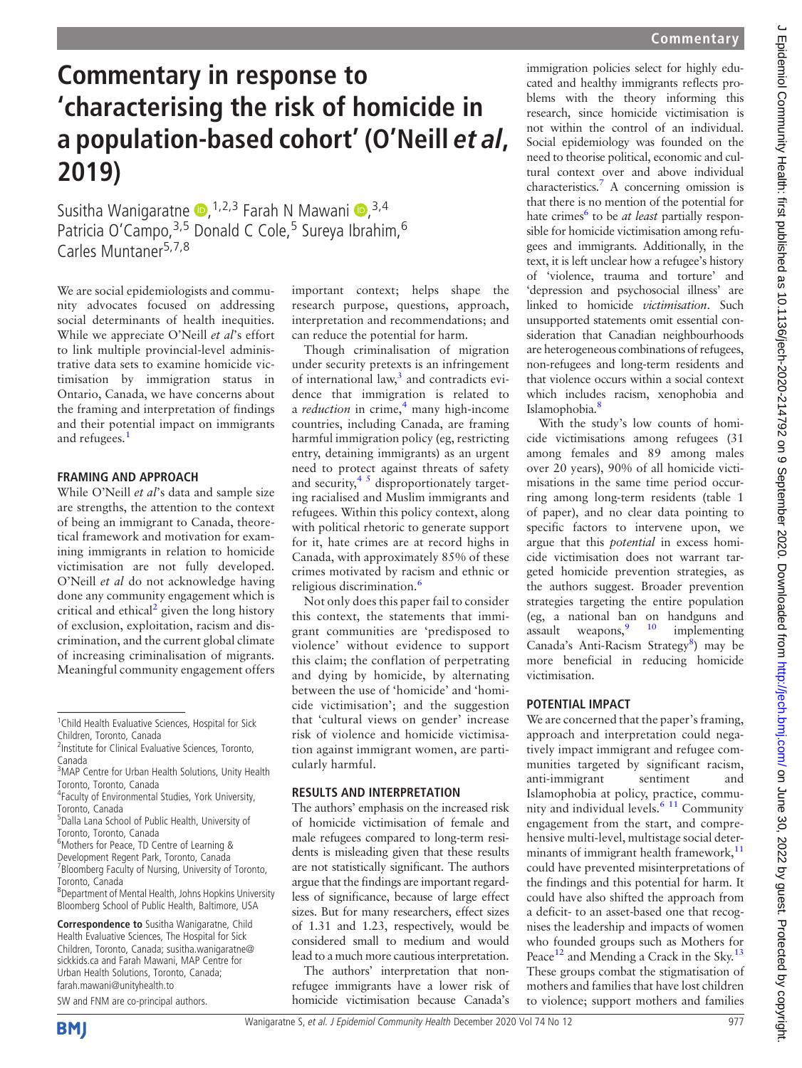# Commentary in response to 'characterising the risk of homicide in a population-based cohort' (O'Neill et al, 2019)

Susitha Wanigaratne D, <sup>1,2,3</sup> Farah N Mawani D, <sup>3,4</sup> Patricia O'Campo, 3,5 Donald C Cole,<sup>5</sup> Sureya Ibrahim, <sup>6</sup> Carles Muntaner<sup>5,7,8</sup>

We are social epidemiologists and community advocates focused on addressing social determinants of health inequities. While we appreciate O'Neill et al's effort to link multiple provincial-level administrative data sets to examine homicide victimisation by immigration status in Ontario, Canada, we have concerns about the framing and interpretation of findings and their potential impact on immigrants and refugees.<sup>[1](#page-1-0)</sup>

## FRAMING AND APPROACH

While O'Neill et al's data and sample size are strengths, the attention to the context of being an immigrant to Canada, theoretical framework and motivation for examining immigrants in relation to homicide victimisation are not fully developed. O'Neill et al do not acknowledge having done any community engagement which is critical and ethical<sup>[2](#page-1-1)</sup> given the long history of exclusion, exploitation, racism and discrimination, and the current global climate of increasing criminalisation of migrants. Meaningful community engagement offers

Correspondence to Susitha Wanigaratne, Child Health Evaluative Sciences, The Hospital for Sick Children, Toronto, Canada; [susitha.wanigaratne@](mailto:susitha.wanigaratne@sickkids.ca) [sickkids.ca and Farah Mawani, MAP Centre for](mailto:susitha.wanigaratne@sickkids.ca) [Urban Health Solutions, Toronto, Canada;](mailto:susitha.wanigaratne@sickkids.ca) farah.mawani@unityhealth.to

SW and FNM are co-principal authors.



important context; helps shape the research purpose, questions, approach, interpretation and recommendations; and can reduce the potential for harm.

Though criminalisation of migration under security pretexts is an infringement of international law, $3$  and contradicts evidence that immigration is related to a *reduction* in crime, $\frac{4}{3}$  $\frac{4}{3}$  $\frac{4}{3}$  many high-income countries, including Canada, are framing harmful immigration policy (eg, restricting entry, detaining immigrants) as an urgent need to protect against threats of safety and security, $4 \times 5$  disproportionately targeting racialised and Muslim immigrants and refugees. Within this policy context, along with political rhetoric to generate support for it, hate crimes are at record highs in Canada, with approximately 85% of these crimes motivated by racism and ethnic or religious discrimination.[6](#page-1-4)

Not only does this paper fail to consider this context, the statements that immigrant communities are 'predisposed to violence' without evidence to support this claim; the conflation of perpetrating and dying by homicide, by alternating between the use of 'homicide' and 'homicide victimisation'; and the suggestion that 'cultural views on gender' increase risk of violence and homicide victimisation against immigrant women, are particularly harmful.

### RESULTS AND INTERPRETATION

The authors' emphasis on the increased risk of homicide victimisation of female and male refugees compared to long-term residents is misleading given that these results are not statistically significant. The authors argue that the findings are important regardless of significance, because of large effect sizes. But for many researchers, effect sizes of 1.31 and 1.23, respectively, would be considered small to medium and would lead to a much more cautious interpretation.

The authors' interpretation that nonrefugee immigrants have a lower risk of homicide victimisation because Canada's

immigration policies select for highly educated and healthy immigrants reflects problems with the theory informing this research, since homicide victimisation is not within the control of an individual. Social epidemiology was founded on the need to theorise political, economic and cultural context over and above individual characteristics[.7](#page-1-5) A concerning omission is that there is no mention of the potential for hate crimes<sup>[6](#page-1-4)</sup> to be *at least* partially responsible for homicide victimisation among refugees and immigrants. Additionally, in the text, it is left unclear how a refugee's history of 'violence, trauma and torture' and 'depression and psychosocial illness' are linked to homicide victimisation. Such unsupported statements omit essential consideration that Canadian neighbourhoods are heterogeneous combinations of refugees, non-refugees and long-term residents and that violence occurs within a social context which includes racism, xenophobia and Islamophobia.<sup>8</sup>

With the study's low counts of homicide victimisations among refugees (31 among females and 89 among males over 20 years), 90% of all homicide victimisations in the same time period occurring among long-term residents (table 1 of paper), and no clear data pointing to specific factors to intervene upon, we argue that this potential in excess homicide victimisation does not warrant targeted homicide prevention strategies, as the authors suggest. Broader prevention strategies targeting the entire population (eg, a national ban on handguns and assault weapons  $9^{9}$  10 implementing assault weapons, $\frac{9}{10}$  implementing Canada's Anti-Racism Strategy<sup>8</sup>) may be more beneficial in reducing homicide victimisation.

## POTENTIAL IMPACT

We are concerned that the paper's framing, approach and interpretation could negatively impact immigrant and refugee communities targeted by significant racism, anti-immigrant sentiment and Islamophobia at policy, practice, community and individual levels. $611$  Community engagement from the start, and comprehensive multi-level, multistage social determinants of immigrant health framework,<sup>11</sup> could have prevented misinterpretations of the findings and this potential for harm. It could have also shifted the approach from a deficit- to an asset-based one that recognises the leadership and impacts of women who founded groups such as Mothers for Peace<sup>[12](#page-1-9)</sup> and Mending a Crack in the Sky.<sup>13</sup> These groups combat the stigmatisation of mothers and families that have lost children to violence; support mothers and families

<sup>&</sup>lt;sup>1</sup> Child Health Evaluative Sciences, Hospital for Sick Children, Toronto, Canada

<sup>&</sup>lt;sup>2</sup>Institute for Clinical Evaluative Sciences, Toronto, Canada

<sup>&</sup>lt;sup>3</sup>MAP Centre for Urban Health Solutions, Unity Health Toronto, Toronto, Canada

<sup>4</sup> Faculty of Environmental Studies, York University, Toronto, Canada

<sup>5</sup> Dalla Lana School of Public Health, University of Toronto, Toronto, Canada

<sup>6</sup> Mothers for Peace, TD Centre of Learning &

Development Regent Park, Toronto, Canada <sup>7</sup> Bloomberg Faculty of Nursing, University of Toronto, Toronto, Canada

<sup>8</sup> Department of Mental Health, Johns Hopkins University Bloomberg School of Public Health, Baltimore, USA